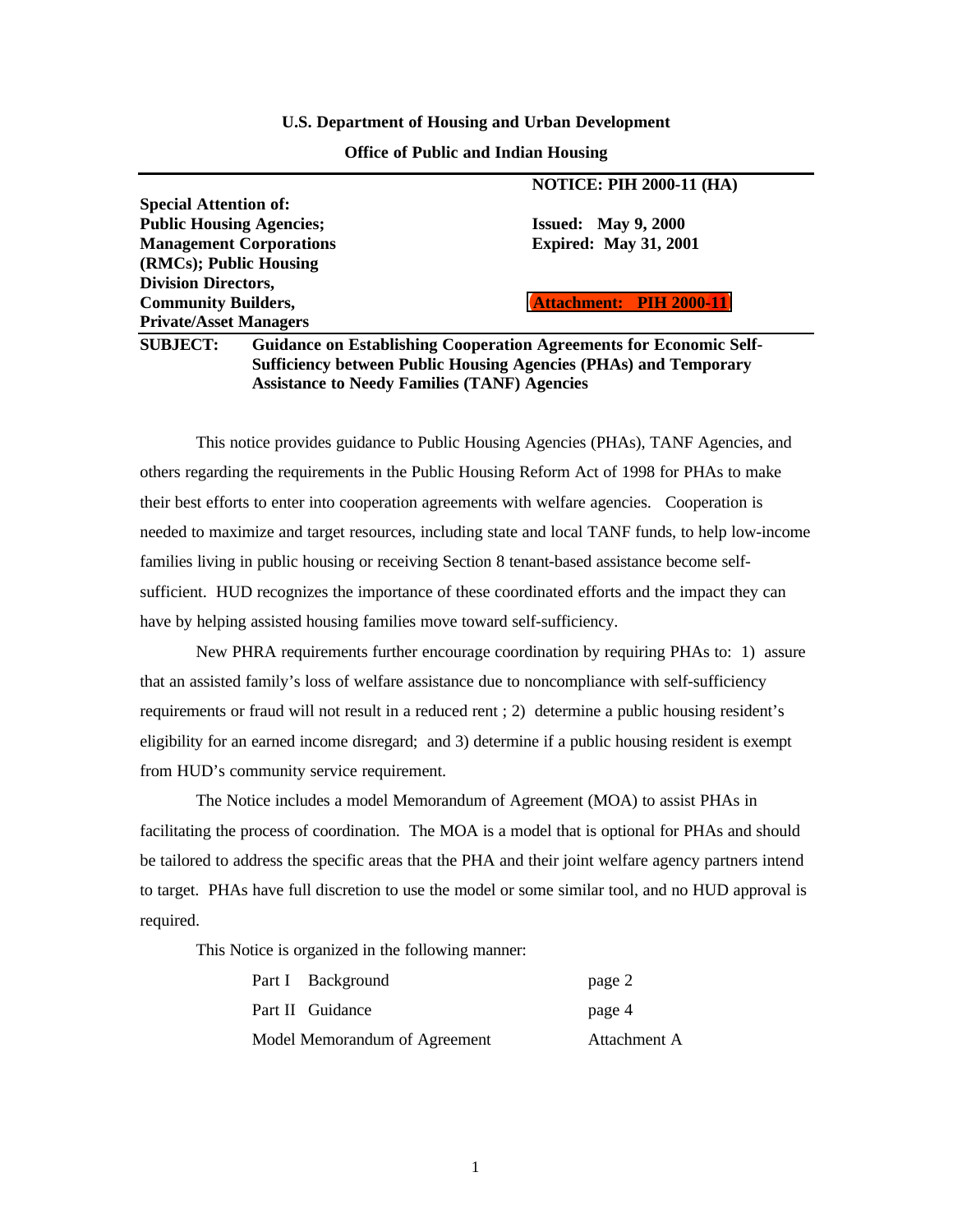#### **U.S. Department of Housing and Urban Development**

#### **Office of Public and Indian Housing**

**NOTICE: PIH 2000-11 (HA)**

|                                                                                              | 1901101: 1 111 2000-11 (11A)   |
|----------------------------------------------------------------------------------------------|--------------------------------|
| <b>Special Attention of:</b>                                                                 |                                |
| <b>Public Housing Agencies;</b>                                                              | <b>Issued: May 9, 2000</b>     |
| <b>Management Corporations</b>                                                               | <b>Expired: May 31, 2001</b>   |
| (RMCs); Public Housing                                                                       |                                |
| <b>Division Directors,</b>                                                                   |                                |
| <b>Community Builders,</b>                                                                   | <b>Attachment:</b> PIH 2000 11 |
| <b>Private/Asset Managers</b>                                                                |                                |
| <b>SUBJECT:</b><br><b>Guidance on Establishing Cooperation Agreements for Economic Self-</b> |                                |

**Sufficiency between Public Housing Agencies (PHAs) and Temporary Assistance to Needy Families (TANF) Agencies**

This notice provides guidance to Public Housing Agencies (PHAs), TANF Agencies, and others regarding the requirements in the Public Housing Reform Act of 1998 for PHAs to make their best efforts to enter into cooperation agreements with welfare agencies. Cooperation is needed to maximize and target resources, including state and local TANF funds, to help low-income families living in public housing or receiving Section 8 tenant-based assistance become selfsufficient. HUD recognizes the importance of these coordinated efforts and the impact they can have by helping assisted housing families move toward self-sufficiency.

New PHRA requirements further encourage coordination by requiring PHAs to: 1) assure that an assisted family's loss of welfare assistance due to noncompliance with self-sufficiency requirements or fraud will not result in a reduced rent ; 2) determine a public housing resident's eligibility for an earned income disregard; and 3) determine if a public housing resident is exempt from HUD's community service requirement.

The Notice includes a model Memorandum of Agreement (MOA) to assist PHAs in facilitating the process of coordination. The MOA is a model that is optional for PHAs and should be tailored to address the specific areas that the PHA and their joint welfare agency partners intend to target. PHAs have full discretion to use the model or some similar tool, and no HUD approval is required.

This Notice is organized in the following manner:

| Part I Background             | page 2       |
|-------------------------------|--------------|
| Part II Guidance              | page 4       |
| Model Memorandum of Agreement | Attachment A |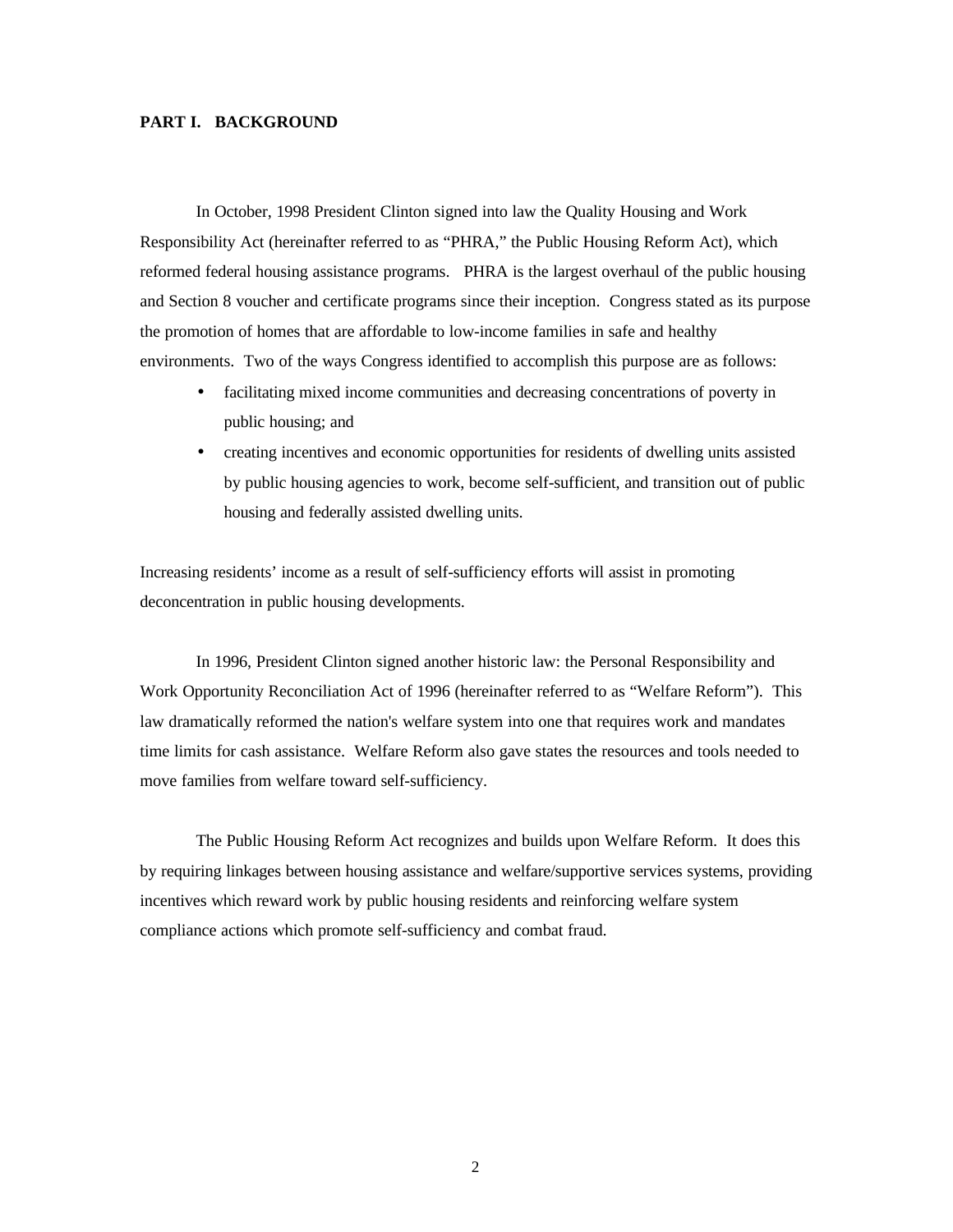### **PART I. BACKGROUND**

In October, 1998 President Clinton signed into law the Quality Housing and Work Responsibility Act (hereinafter referred to as "PHRA," the Public Housing Reform Act), which reformed federal housing assistance programs. PHRA is the largest overhaul of the public housing and Section 8 voucher and certificate programs since their inception. Congress stated as its purpose the promotion of homes that are affordable to low-income families in safe and healthy environments. Two of the ways Congress identified to accomplish this purpose are as follows:

- facilitating mixed income communities and decreasing concentrations of poverty in public housing; and
- creating incentives and economic opportunities for residents of dwelling units assisted by public housing agencies to work, become self-sufficient, and transition out of public housing and federally assisted dwelling units.

Increasing residents' income as a result of self-sufficiency efforts will assist in promoting deconcentration in public housing developments.

In 1996, President Clinton signed another historic law: the Personal Responsibility and Work Opportunity Reconciliation Act of 1996 (hereinafter referred to as "Welfare Reform"). This law dramatically reformed the nation's welfare system into one that requires work and mandates time limits for cash assistance. Welfare Reform also gave states the resources and tools needed to move families from welfare toward self-sufficiency.

The Public Housing Reform Act recognizes and builds upon Welfare Reform. It does this by requiring linkages between housing assistance and welfare/supportive services systems, providing incentives which reward work by public housing residents and reinforcing welfare system compliance actions which promote self-sufficiency and combat fraud.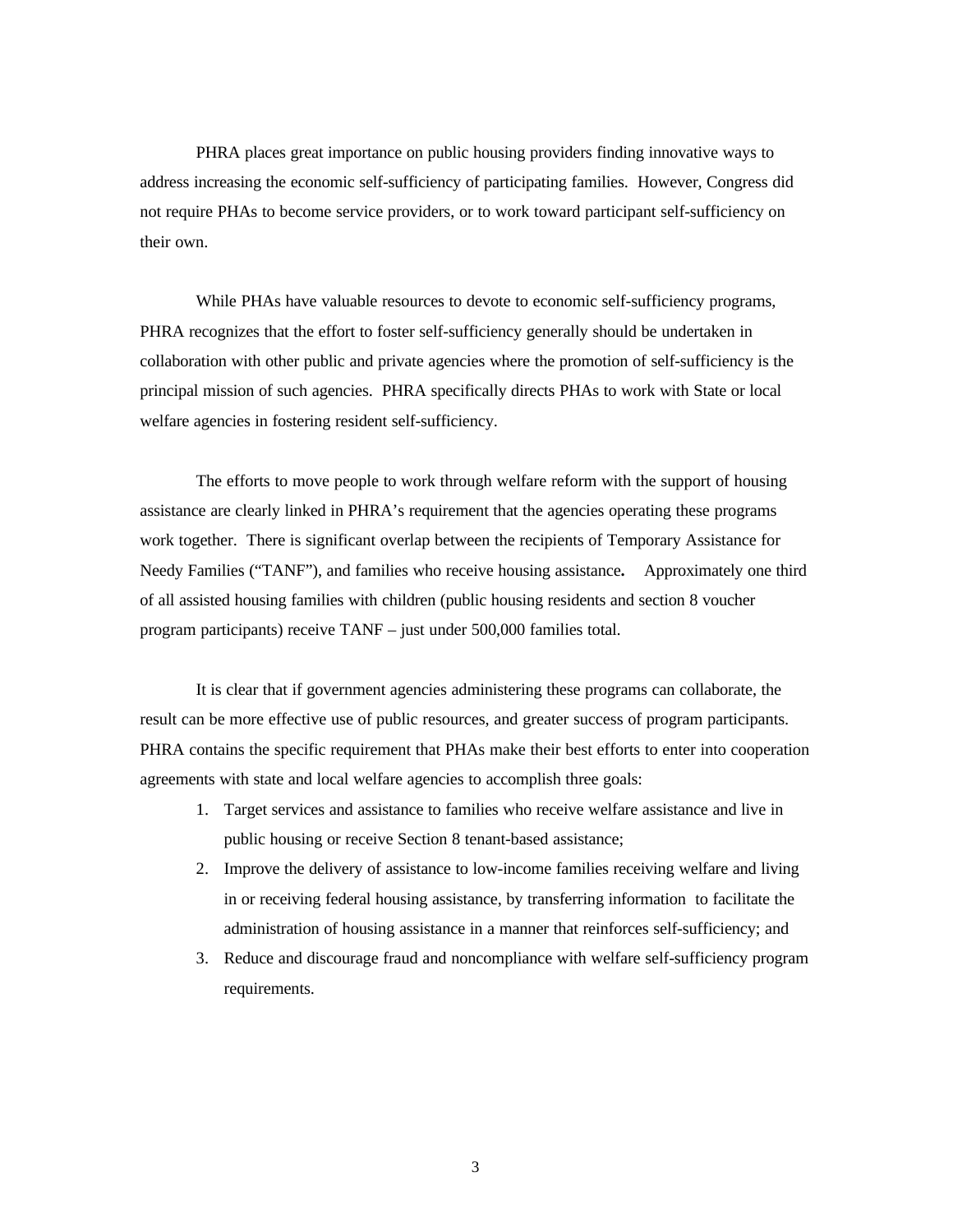PHRA places great importance on public housing providers finding innovative ways to address increasing the economic self-sufficiency of participating families. However, Congress did not require PHAs to become service providers, or to work toward participant self-sufficiency on their own.

While PHAs have valuable resources to devote to economic self-sufficiency programs, PHRA recognizes that the effort to foster self-sufficiency generally should be undertaken in collaboration with other public and private agencies where the promotion of self-sufficiency is the principal mission of such agencies. PHRA specifically directs PHAs to work with State or local welfare agencies in fostering resident self-sufficiency.

The efforts to move people to work through welfare reform with the support of housing assistance are clearly linked in PHRA's requirement that the agencies operating these programs work together. There is significant overlap between the recipients of Temporary Assistance for Needy Families ("TANF"), and families who receive housing assistance**.** Approximately one third of all assisted housing families with children (public housing residents and section 8 voucher program participants) receive TANF – just under 500,000 families total.

It is clear that if government agencies administering these programs can collaborate, the result can be more effective use of public resources, and greater success of program participants. PHRA contains the specific requirement that PHAs make their best efforts to enter into cooperation agreements with state and local welfare agencies to accomplish three goals:

- 1. Target services and assistance to families who receive welfare assistance and live in public housing or receive Section 8 tenant-based assistance;
- 2. Improve the delivery of assistance to low-income families receiving welfare and living in or receiving federal housing assistance, by transferring information to facilitate the administration of housing assistance in a manner that reinforces self-sufficiency; and
- 3. Reduce and discourage fraud and noncompliance with welfare self-sufficiency program requirements.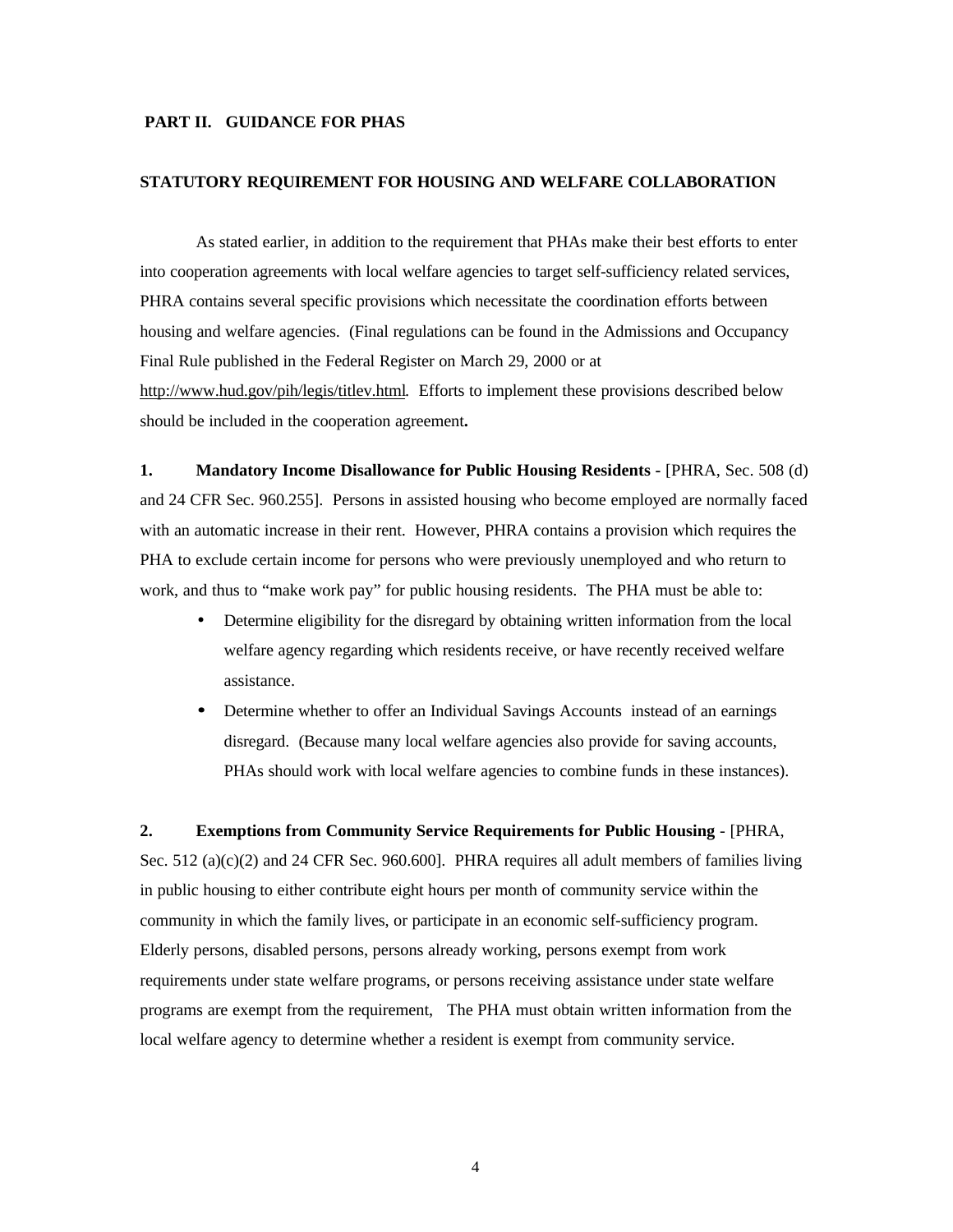#### **PART II. GUIDANCE FOR PHAS**

#### **STATUTORY REQUIREMENT FOR HOUSING AND WELFARE COLLABORATION**

As stated earlier, in addition to the requirement that PHAs make their best efforts to enter into cooperation agreements with local welfare agencies to target self-sufficiency related services, PHRA contains several specific provisions which necessitate the coordination efforts between housing and welfare agencies. (Final regulations can be found in the Admissions and Occupancy Final Rule published in the Federal Register on March 29, 2000 or at http://www.hud.gov/pih/legis/titlev.html. Efforts to implement these provisions described below should be included in the cooperation agreement**.**

**1. Mandatory Income Disallowance for Public Housing Residents - [PHRA, Sec. 508 (d)** and 24 CFR Sec. 960.255]. Persons in assisted housing who become employed are normally faced with an automatic increase in their rent. However, PHRA contains a provision which requires the PHA to exclude certain income for persons who were previously unemployed and who return to work, and thus to "make work pay" for public housing residents. The PHA must be able to:

- Determine eligibility for the disregard by obtaining written information from the local welfare agency regarding which residents receive, or have recently received welfare assistance.
- Determine whether to offer an Individual Savings Accounts instead of an earnings disregard. (Because many local welfare agencies also provide for saving accounts, PHAs should work with local welfare agencies to combine funds in these instances).

**2. Exemptions from Community Service Requirements for Public Housing** - [PHRA, Sec. 512 (a)(c)(2) and 24 CFR Sec. 960.600]. PHRA requires all adult members of families living in public housing to either contribute eight hours per month of community service within the community in which the family lives, or participate in an economic self-sufficiency program. Elderly persons, disabled persons, persons already working, persons exempt from work requirements under state welfare programs, or persons receiving assistance under state welfare programs are exempt from the requirement, The PHA must obtain written information from the local welfare agency to determine whether a resident is exempt from community service.

4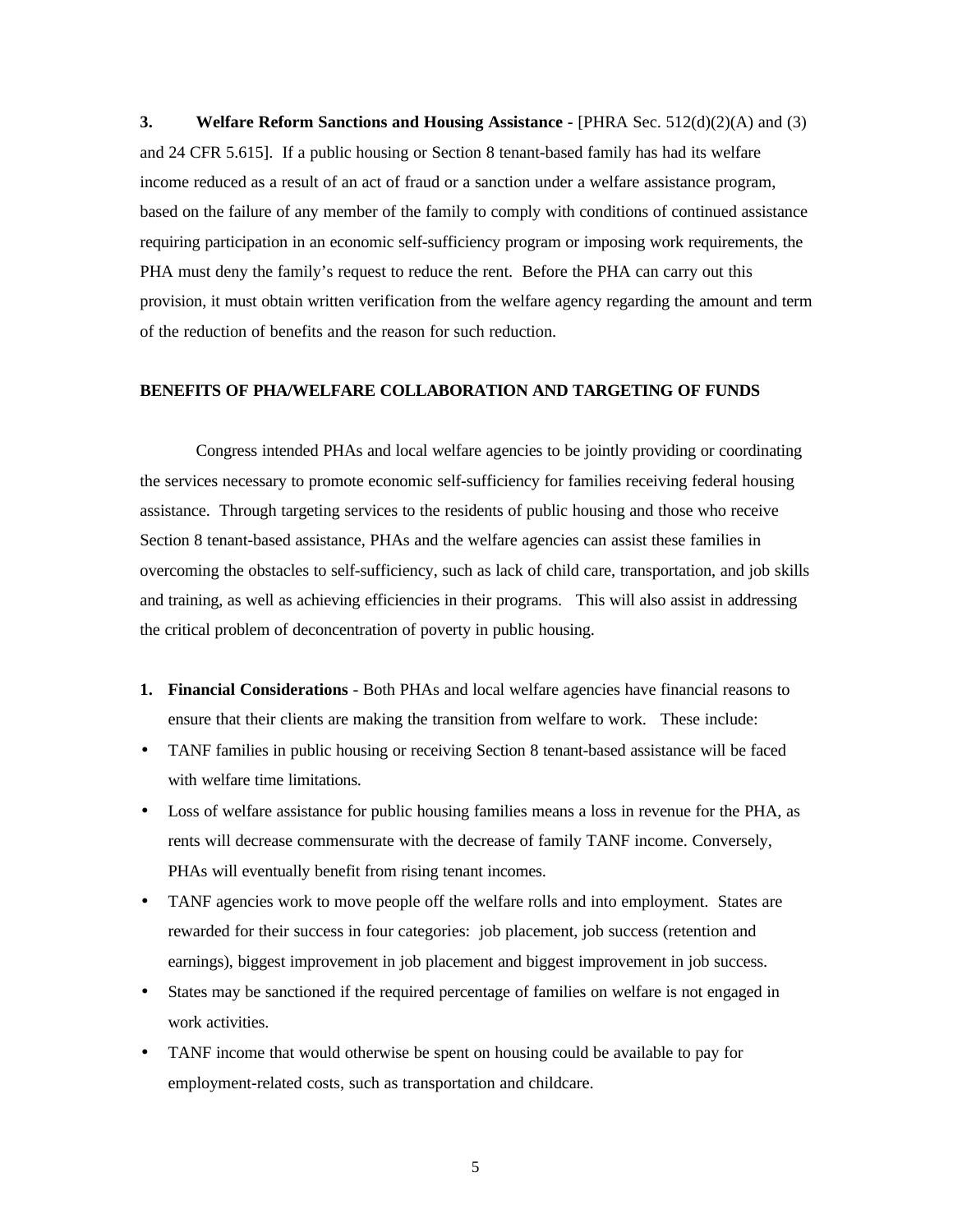**3. Welfare Reform Sanctions and Housing Assistance - [PHRA Sec. 512(d)(2)(A) and (3)** and 24 CFR 5.615]. If a public housing or Section 8 tenant-based family has had its welfare income reduced as a result of an act of fraud or a sanction under a welfare assistance program, based on the failure of any member of the family to comply with conditions of continued assistance requiring participation in an economic self-sufficiency program or imposing work requirements, the PHA must deny the family's request to reduce the rent. Before the PHA can carry out this provision, it must obtain written verification from the welfare agency regarding the amount and term of the reduction of benefits and the reason for such reduction.

#### **BENEFITS OF PHA/WELFARE COLLABORATION AND TARGETING OF FUNDS**

Congress intended PHAs and local welfare agencies to be jointly providing or coordinating the services necessary to promote economic self-sufficiency for families receiving federal housing assistance. Through targeting services to the residents of public housing and those who receive Section 8 tenant-based assistance, PHAs and the welfare agencies can assist these families in overcoming the obstacles to self-sufficiency, such as lack of child care, transportation, and job skills and training, as well as achieving efficiencies in their programs. This will also assist in addressing the critical problem of deconcentration of poverty in public housing.

- **1. Financial Considerations** Both PHAs and local welfare agencies have financial reasons to ensure that their clients are making the transition from welfare to work. These include:
- TANF families in public housing or receiving Section 8 tenant-based assistance will be faced with welfare time limitations.
- Loss of welfare assistance for public housing families means a loss in revenue for the PHA, as rents will decrease commensurate with the decrease of family TANF income. Conversely, PHAs will eventually benefit from rising tenant incomes.
- TANF agencies work to move people off the welfare rolls and into employment. States are rewarded for their success in four categories: job placement, job success (retention and earnings), biggest improvement in job placement and biggest improvement in job success.
- States may be sanctioned if the required percentage of families on welfare is not engaged in work activities.
- TANF income that would otherwise be spent on housing could be available to pay for employment-related costs, such as transportation and childcare.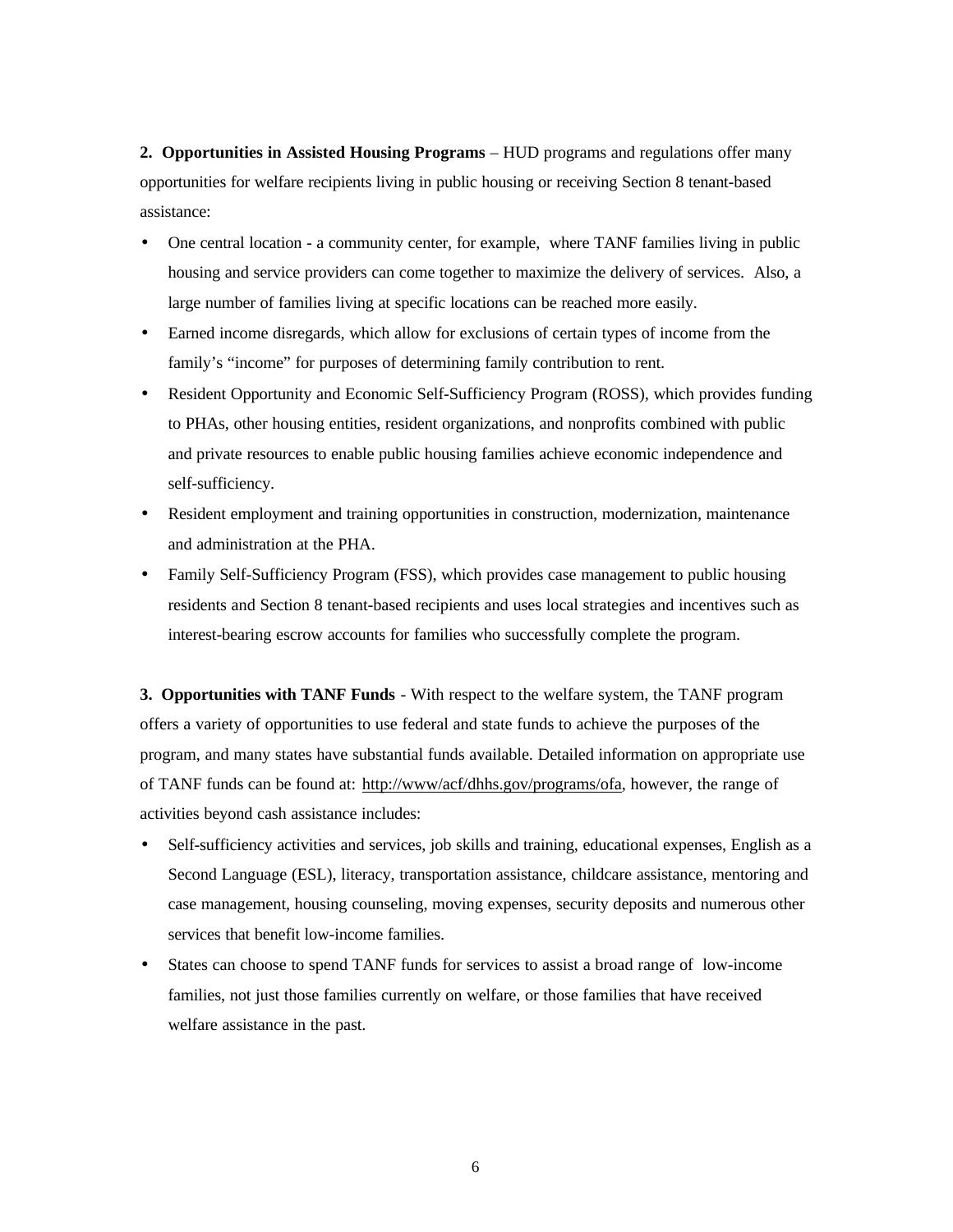**2. Opportunities in Assisted Housing Programs** – HUD programs and regulations offer many opportunities for welfare recipients living in public housing or receiving Section 8 tenant-based assistance:

- One central location a community center, for example, where TANF families living in public housing and service providers can come together to maximize the delivery of services. Also, a large number of families living at specific locations can be reached more easily.
- Earned income disregards, which allow for exclusions of certain types of income from the family's "income" for purposes of determining family contribution to rent.
- Resident Opportunity and Economic Self-Sufficiency Program (ROSS), which provides funding to PHAs, other housing entities, resident organizations, and nonprofits combined with public and private resources to enable public housing families achieve economic independence and self-sufficiency.
- Resident employment and training opportunities in construction, modernization, maintenance and administration at the PHA.
- Family Self-Sufficiency Program (FSS), which provides case management to public housing residents and Section 8 tenant-based recipients and uses local strategies and incentives such as interest-bearing escrow accounts for families who successfully complete the program.

**3. Opportunities with TANF Funds** - With respect to the welfare system, the TANF program offers a variety of opportunities to use federal and state funds to achieve the purposes of the program, and many states have substantial funds available. Detailed information on appropriate use of TANF funds can be found at: http://www/acf/dhhs.gov/programs/ofa, however, the range of activities beyond cash assistance includes:

- Self-sufficiency activities and services, job skills and training, educational expenses, English as a Second Language (ESL), literacy, transportation assistance, childcare assistance, mentoring and case management, housing counseling, moving expenses, security deposits and numerous other services that benefit low-income families.
- States can choose to spend TANF funds for services to assist a broad range of low-income families, not just those families currently on welfare, or those families that have received welfare assistance in the past.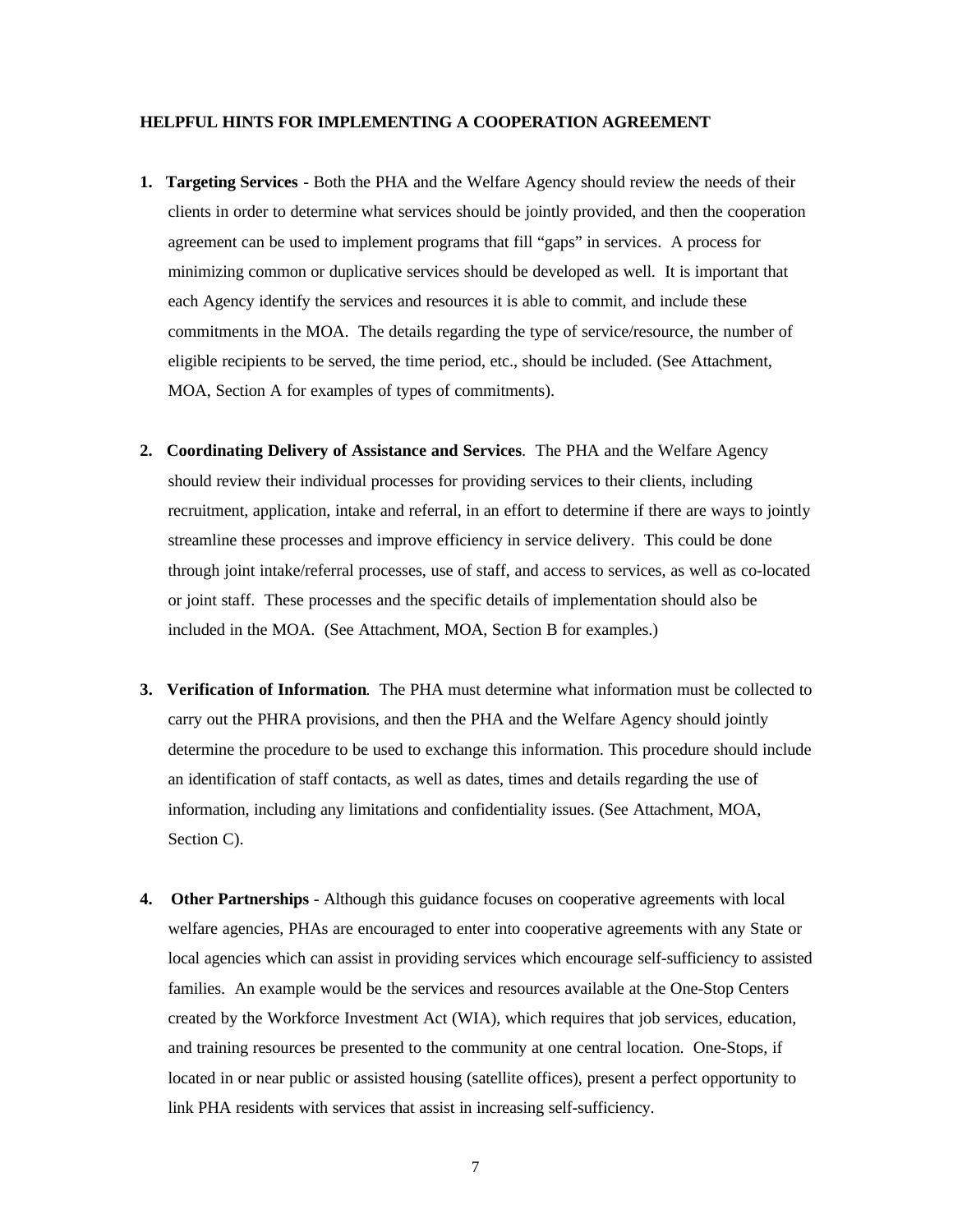#### **HELPFUL HINTS FOR IMPLEMENTING A COOPERATION AGREEMENT**

- **1. Targeting Services**  Both the PHA and the Welfare Agency should review the needs of their clients in order to determine what services should be jointly provided, and then the cooperation agreement can be used to implement programs that fill "gaps" in services. A process for minimizing common or duplicative services should be developed as well. It is important that each Agency identify the services and resources it is able to commit, and include these commitments in the MOA. The details regarding the type of service/resource, the number of eligible recipients to be served, the time period, etc., should be included. (See Attachment, MOA, Section A for examples of types of commitments).
- **2. Coordinating Delivery of Assistance and Services**. The PHA and the Welfare Agency should review their individual processes for providing services to their clients, including recruitment, application, intake and referral, in an effort to determine if there are ways to jointly streamline these processes and improve efficiency in service delivery. This could be done through joint intake/referral processes, use of staff, and access to services, as well as co-located or joint staff. These processes and the specific details of implementation should also be included in the MOA. (See Attachment, MOA, Section B for examples.)
- **3. Verification of Information**. The PHA must determine what information must be collected to carry out the PHRA provisions, and then the PHA and the Welfare Agency should jointly determine the procedure to be used to exchange this information. This procedure should include an identification of staff contacts, as well as dates, times and details regarding the use of information, including any limitations and confidentiality issues. (See Attachment, MOA, Section C).
- **4. Other Partnerships** Although this guidance focuses on cooperative agreements with local welfare agencies, PHAs are encouraged to enter into cooperative agreements with any State or local agencies which can assist in providing services which encourage self-sufficiency to assisted families. An example would be the services and resources available at the One-Stop Centers created by the Workforce Investment Act (WIA), which requires that job services, education, and training resources be presented to the community at one central location. One-Stops, if located in or near public or assisted housing (satellite offices), present a perfect opportunity to link PHA residents with services that assist in increasing self-sufficiency.

7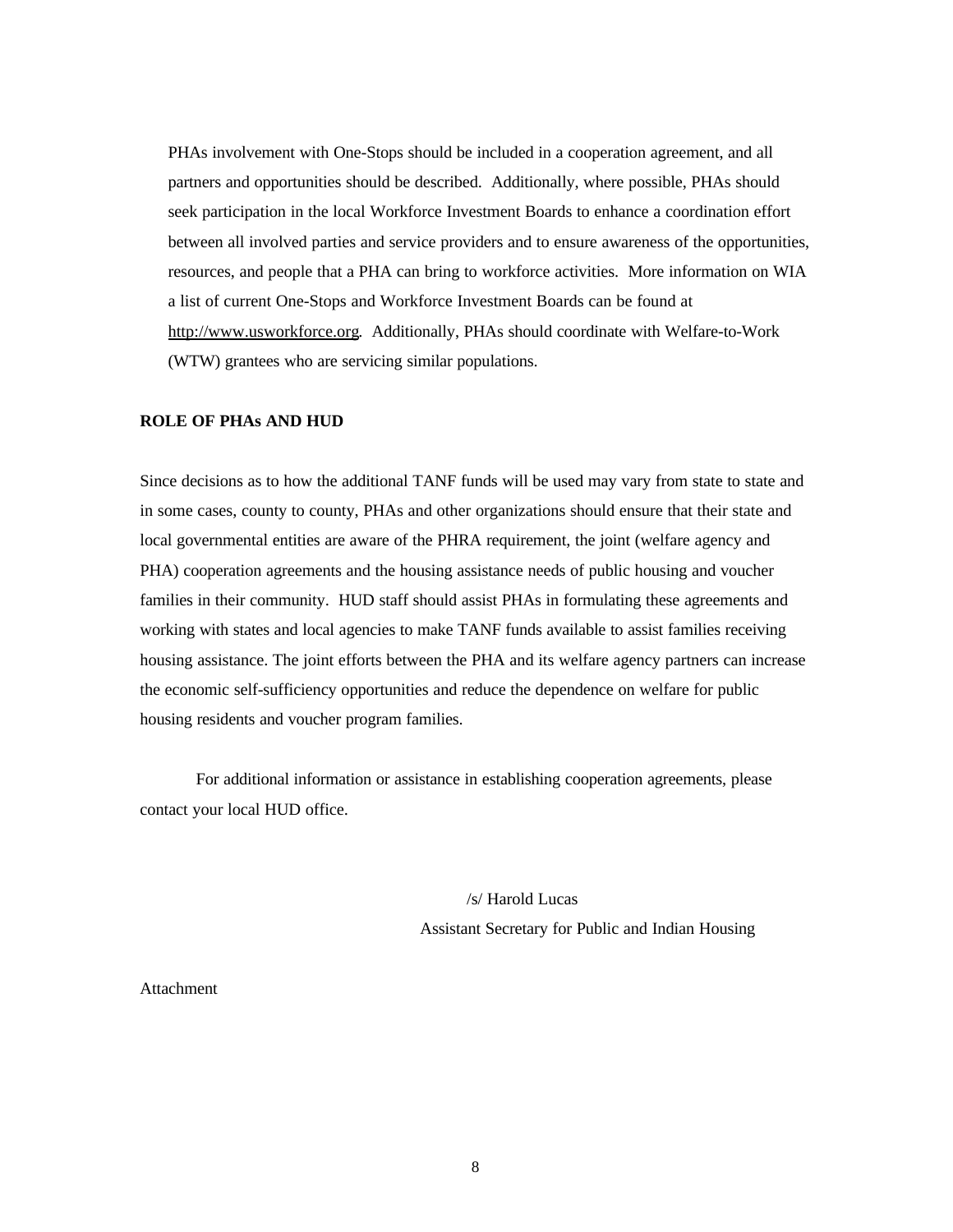PHAs involvement with One-Stops should be included in a cooperation agreement, and all partners and opportunities should be described. Additionally, where possible, PHAs should seek participation in the local Workforce Investment Boards to enhance a coordination effort between all involved parties and service providers and to ensure awareness of the opportunities, resources, and people that a PHA can bring to workforce activities. More information on WIA a list of current One-Stops and Workforce Investment Boards can be found at http://www.usworkforce.org. Additionally, PHAs should coordinate with Welfare-to-Work (WTW) grantees who are servicing similar populations.

### **ROLE OF PHAs AND HUD**

Since decisions as to how the additional TANF funds will be used may vary from state to state and in some cases, county to county, PHAs and other organizations should ensure that their state and local governmental entities are aware of the PHRA requirement, the joint (welfare agency and PHA) cooperation agreements and the housing assistance needs of public housing and voucher families in their community. HUD staff should assist PHAs in formulating these agreements and working with states and local agencies to make TANF funds available to assist families receiving housing assistance. The joint efforts between the PHA and its welfare agency partners can increase the economic self-sufficiency opportunities and reduce the dependence on welfare for public housing residents and voucher program families.

For additional information or assistance in establishing cooperation agreements, please contact your local HUD office.

> /s/ Harold Lucas Assistant Secretary for Public and Indian Housing

### Attachment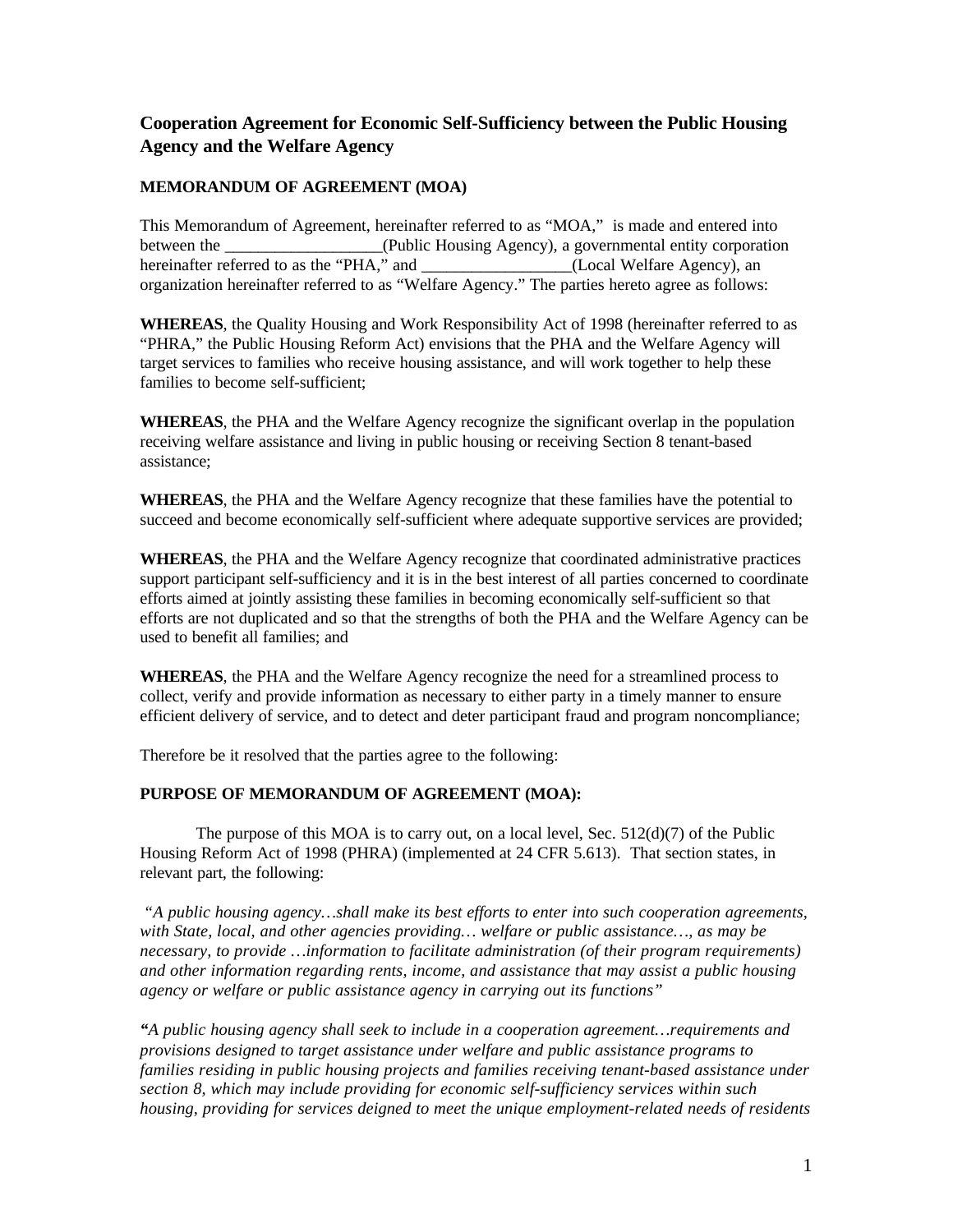# <span id="page-8-0"></span>**Cooperation Agreement for Economic Self-Sufficiency between the Public Housing Agency and the Welfare Agency**

# **MEMORANDUM OF AGREEMENT (MOA)**

This Memorandum of Agreement, hereinafter referred to as "MOA," is made and entered into between the <br>  $(Public Housing Agency), a governmental entity corporation$ hereinafter referred to as the "PHA," and  $(Local Welfare Agency)$ , an organization hereinafter referred to as "Welfare Agency." The parties hereto agree as follows:

**WHEREAS**, the Quality Housing and Work Responsibility Act of 1998 (hereinafter referred to as "PHRA," the Public Housing Reform Act) envisions that the PHA and the Welfare Agency will target services to families who receive housing assistance, and will work together to help these families to become self-sufficient:

**WHEREAS**, the PHA and the Welfare Agency recognize the significant overlap in the population receiving welfare assistance and living in public housing or receiving Section 8 tenant-based assistance;

**WHEREAS**, the PHA and the Welfare Agency recognize that these families have the potential to succeed and become economically self-sufficient where adequate supportive services are provided;

**WHEREAS**, the PHA and the Welfare Agency recognize that coordinated administrative practices support participant self-sufficiency and it is in the best interest of all parties concerned to coordinate efforts aimed at jointly assisting these families in becoming economically self-sufficient so that efforts are not duplicated and so that the strengths of both the PHA and the Welfare Agency can be used to benefit all families; and

**WHEREAS**, the PHA and the Welfare Agency recognize the need for a streamlined process to collect, verify and provide information as necessary to either party in a timely manner to ensure efficient delivery of service, and to detect and deter participant fraud and program noncompliance;

Therefore be it resolved that the parties agree to the following:

# **PURPOSE OF MEMORANDUM OF AGREEMENT (MOA):**

The purpose of this MOA is to carry out, on a local level, Sec.  $512(d)(7)$  of the Public Housing Reform Act of 1998 (PHRA) (implemented at 24 CFR 5.613). That section states, in relevant part, the following:

*"A public housing agency…shall make its best efforts to enter into such cooperation agreements, with State, local, and other agencies providing… welfare or public assistance…, as may be necessary, to provide …information to facilitate administration (of their program requirements) and other information regarding rents, income, and assistance that may assist a public housing agency or welfare or public assistance agency in carrying out its functions"*

*"A public housing agency shall seek to include in a cooperation agreement…requirements and provisions designed to target assistance under welfare and public assistance programs to families residing in public housing projects and families receiving tenant-based assistance under section 8, which may include providing for economic self-sufficiency services within such housing, providing for services deigned to meet the unique employment-related needs of residents*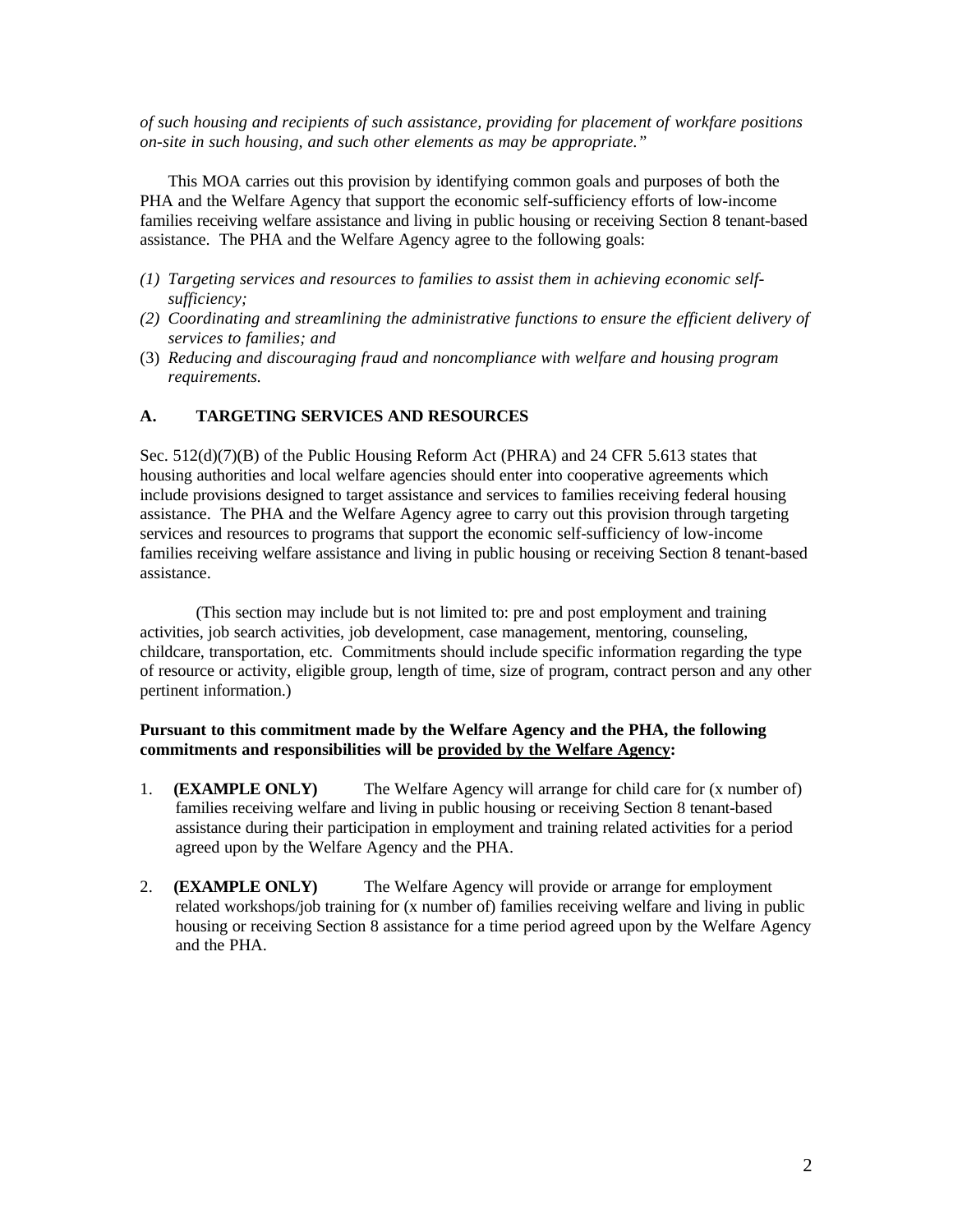*of such housing and recipients of such assistance, providing for placement of workfare positions on-site in such housing, and such other elements as may be appropriate."*

This MOA carries out this provision by identifying common goals and purposes of both the PHA and the Welfare Agency that support the economic self-sufficiency efforts of low-income families receiving welfare assistance and living in public housing or receiving Section 8 tenant-based assistance. The PHA and the Welfare Agency agree to the following goals:

- *(1) Targeting services and resources to families to assist them in achieving economic selfsufficiency;*
- *(2) Coordinating and streamlining the administrative functions to ensure the efficient delivery of services to families; and*
- (3) *Reducing and discouraging fraud and noncompliance with welfare and housing program requirements.*

# **A. TARGETING SERVICES AND RESOURCES**

Sec. 512(d)(7)(B) of the Public Housing Reform Act (PHRA) and 24 CFR 5.613 states that housing authorities and local welfare agencies should enter into cooperative agreements which include provisions designed to target assistance and services to families receiving federal housing assistance. The PHA and the Welfare Agency agree to carry out this provision through targeting services and resources to programs that support the economic self-sufficiency of low-income families receiving welfare assistance and living in public housing or receiving Section 8 tenant-based assistance.

(This section may include but is not limited to: pre and post employment and training activities, job search activities, job development, case management, mentoring, counseling, childcare, transportation, etc. Commitments should include specific information regarding the type of resource or activity, eligible group, length of time, size of program, contract person and any other pertinent information.)

# **Pursuant to this commitment made by the Welfare Agency and the PHA, the following commitments and responsibilities will be provided by the Welfare Agency:**

- 1. **(EXAMPLE ONLY)** The Welfare Agency will arrange for child care for (x number of) families receiving welfare and living in public housing or receiving Section 8 tenant-based assistance during their participation in employment and training related activities for a period agreed upon by the Welfare Agency and the PHA.
- 2. **(EXAMPLE ONLY)** The Welfare Agency will provide or arrange for employment related workshops/job training for (x number of) families receiving welfare and living in public housing or receiving Section 8 assistance for a time period agreed upon by the Welfare Agency and the PHA.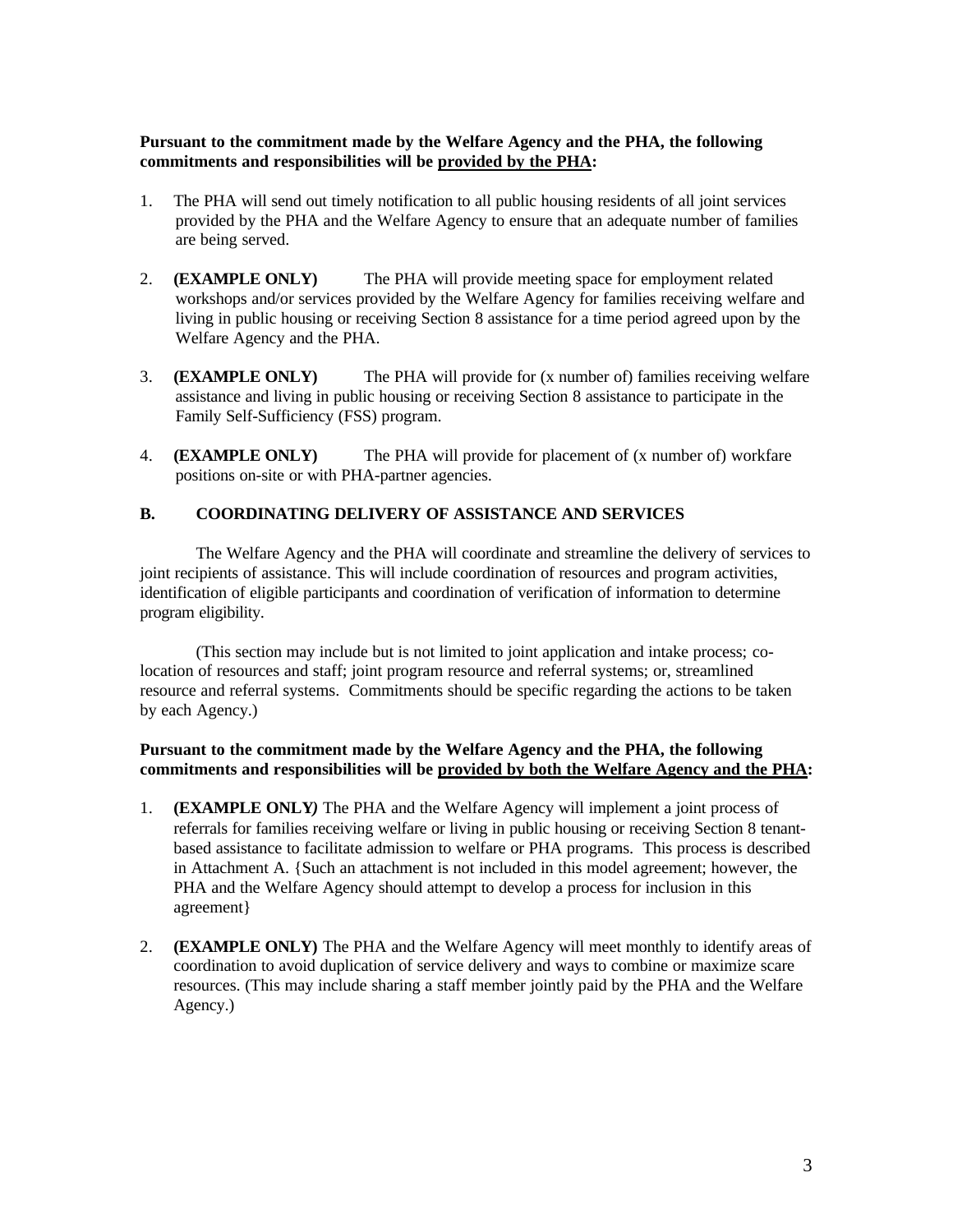# **Pursuant to the commitment made by the Welfare Agency and the PHA, the following commitments and responsibilities will be provided by the PHA:**

- 1. The PHA will send out timely notification to all public housing residents of all joint services provided by the PHA and the Welfare Agency to ensure that an adequate number of families are being served.
- 2. **(EXAMPLE ONLY)** The PHA will provide meeting space for employment related workshops and/or services provided by the Welfare Agency for families receiving welfare and living in public housing or receiving Section 8 assistance for a time period agreed upon by the Welfare Agency and the PHA.
- 3. **(EXAMPLE ONLY)** The PHA will provide for (x number of) families receiving welfare assistance and living in public housing or receiving Section 8 assistance to participate in the Family Self-Sufficiency (FSS) program.
- 4. **(EXAMPLE ONLY)** The PHA will provide for placement of (x number of) workfare positions on-site or with PHA-partner agencies.

# **B. COORDINATING DELIVERY OF ASSISTANCE AND SERVICES**

The Welfare Agency and the PHA will coordinate and streamline the delivery of services to joint recipients of assistance. This will include coordination of resources and program activities, identification of eligible participants and coordination of verification of information to determine program eligibility.

(This section may include but is not limited to joint application and intake process; colocation of resources and staff; joint program resource and referral systems; or, streamlined resource and referral systems. Commitments should be specific regarding the actions to be taken by each Agency.)

# **Pursuant to the commitment made by the Welfare Agency and the PHA, the following commitments and responsibilities will be provided by both the Welfare Agency and the PHA:**

- 1. **(EXAMPLE ONLY***)* The PHA and the Welfare Agency will implement a joint process of referrals for families receiving welfare or living in public housing or receiving Section 8 tenantbased assistance to facilitate admission to welfare or PHA programs. This process is described in Attachment A. {Such an attachment is not included in this model agreement; however, the PHA and the Welfare Agency should attempt to develop a process for inclusion in this agreement}
- 2. **(EXAMPLE ONLY)** The PHA and the Welfare Agency will meet monthly to identify areas of coordination to avoid duplication of service delivery and ways to combine or maximize scare resources. (This may include sharing a staff member jointly paid by the PHA and the Welfare Agency.)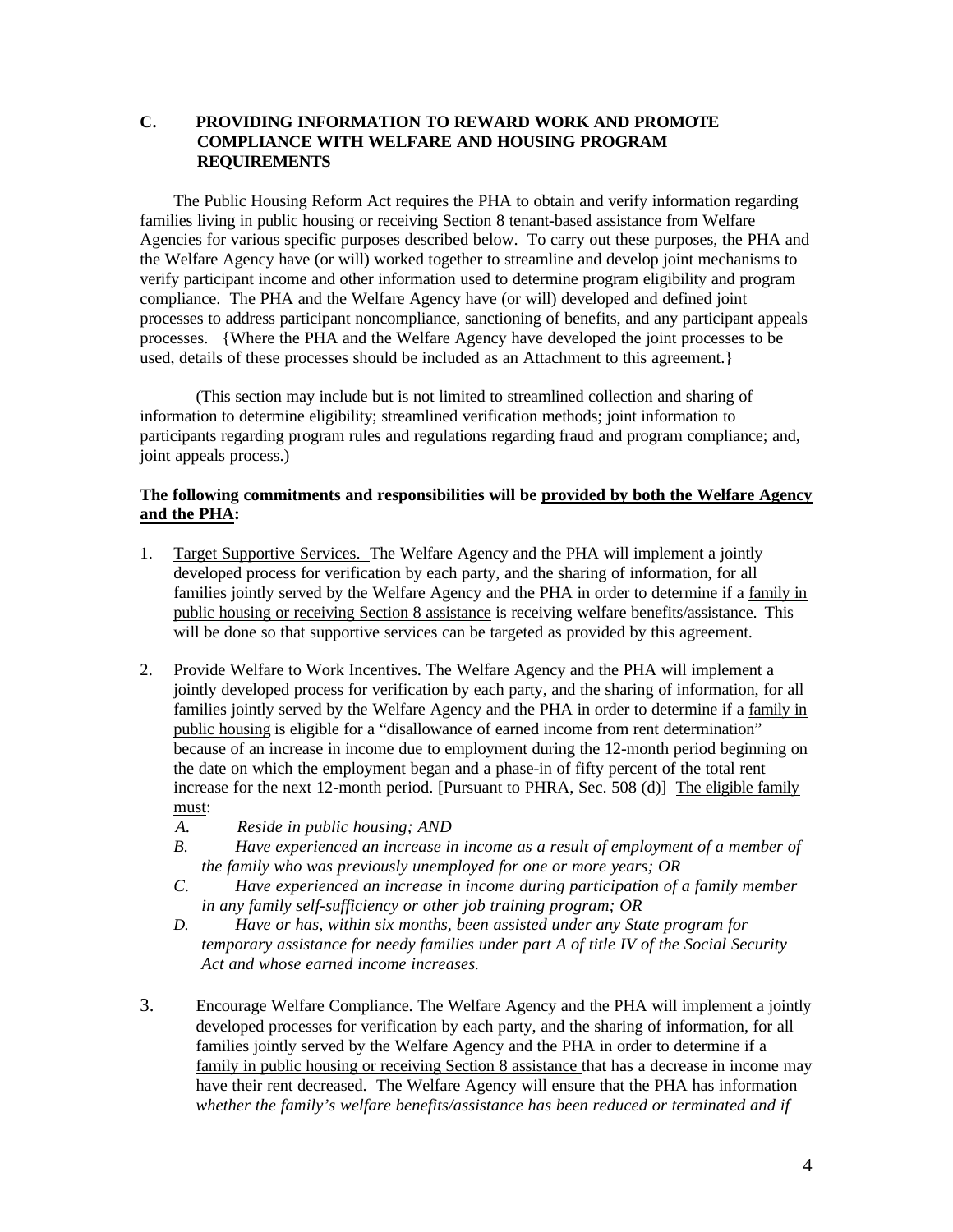## **C. PROVIDING INFORMATION TO REWARD WORK AND PROMOTE COMPLIANCE WITH WELFARE AND HOUSING PROGRAM REQUIREMENTS**

The Public Housing Reform Act requires the PHA to obtain and verify information regarding families living in public housing or receiving Section 8 tenant-based assistance from Welfare Agencies for various specific purposes described below. To carry out these purposes, the PHA and the Welfare Agency have (or will) worked together to streamline and develop joint mechanisms to verify participant income and other information used to determine program eligibility and program compliance. The PHA and the Welfare Agency have (or will) developed and defined joint processes to address participant noncompliance, sanctioning of benefits, and any participant appeals processes. {Where the PHA and the Welfare Agency have developed the joint processes to be used, details of these processes should be included as an Attachment to this agreement.}

(This section may include but is not limited to streamlined collection and sharing of information to determine eligibility; streamlined verification methods; joint information to participants regarding program rules and regulations regarding fraud and program compliance; and, joint appeals process.)

### **The following commitments and responsibilities will be provided by both the Welfare Agency and the PHA:**

- 1. Target Supportive Services. The Welfare Agency and the PHA will implement a jointly developed process for verification by each party, and the sharing of information, for all families jointly served by the Welfare Agency and the PHA in order to determine if a family in public housing or receiving Section 8 assistance is receiving welfare benefits/assistance. This will be done so that supportive services can be targeted as provided by this agreement.
- 2. Provide Welfare to Work Incentives. The Welfare Agency and the PHA will implement a jointly developed process for verification by each party, and the sharing of information, for all families jointly served by the Welfare Agency and the PHA in order to determine if a family in public housing is eligible for a "disallowance of earned income from rent determination" because of an increase in income due to employment during the 12-month period beginning on the date on which the employment began and a phase-in of fifty percent of the total rent increase for the next 12-month period. [Pursuant to PHRA, Sec. 508 (d)] The eligible family must:
	- *A. Reside in public housing; AND*
	- *B. Have experienced an increase in income as a result of employment of a member of the family who was previously unemployed for one or more years; OR*
	- *C. Have experienced an increase in income during participation of a family member in any family self-sufficiency or other job training program; OR*
	- *D. Have or has, within six months, been assisted under any State program for temporary assistance for needy families under part A of title IV of the Social Security Act and whose earned income increases.*
- 3. Encourage Welfare Compliance. The Welfare Agency and the PHA will implement a jointly developed processes for verification by each party, and the sharing of information, for all families jointly served by the Welfare Agency and the PHA in order to determine if a family in public housing or receiving Section 8 assistance that has a decrease in income may have their rent decreased. The Welfare Agency will ensure that the PHA has information *whether the family's welfare benefits/assistance has been reduced or terminated and if*